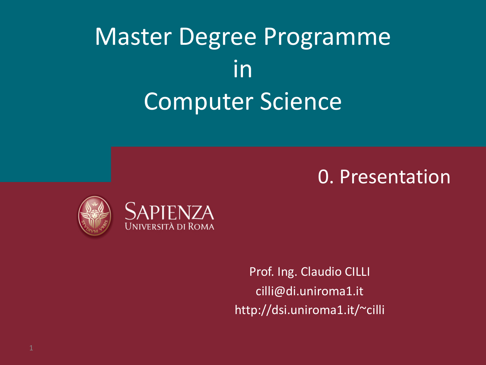### Master Degree Programme in Computer Science

#### Enterprise Information Information Company<br>Enterprise Information Information Information Information Information Information Information Information In<br>Enterprise Information Information Information Information Informatio 0. Presentation



Prof. Ing. Claudio CILLI cilli@di.uniroma1.it http://dsi.uniroma1.it/~cilli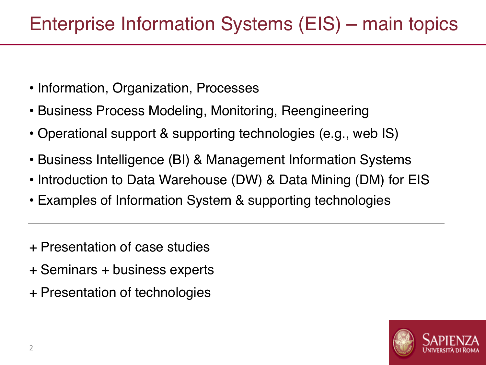- Information, Organization, Processes
- Business Process Modeling, Monitoring, Reengineering
- Operational support & supporting technologies (e.g., web IS)
- Business Intelligence (BI) & Management Information Systems
- Introduction to Data Warehouse (DW) & Data Mining (DM) for EIS
- Examples of Information System & supporting technologies
- + Presentation of case studies
- + Seminars + business experts
- + Presentation of technologies

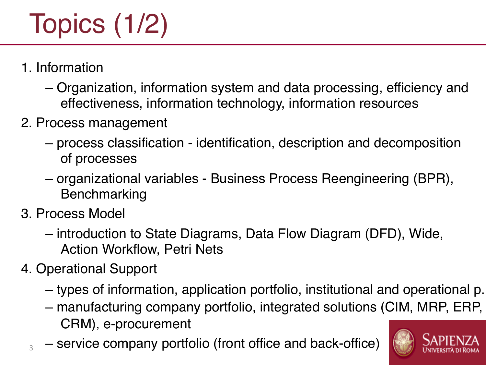# Topics (1/2)

- 1. Information
	- Organization, information system and data processing, efficiency and effectiveness, information technology, information resources
- 2. Process management
	- process classification identification, description and decomposition of processes
	- organizational variables Business Process Reengineering (BPR), Benchmarking
- 3. Process Model

3

- introduction to State Diagrams, Data Flow Diagram (DFD), Wide, Action Workflow, Petri Nets
- 4. Operational Support
	- types of information, application portfolio, institutional and operational p.
	- manufacturing company portfolio, integrated solutions (CIM, MRP, ERP, CRM), e-procurement
	- service company portfolio (front office and back-office)

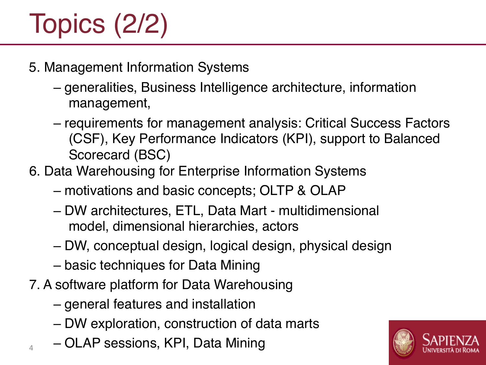## Topics (2/2)

- 5. Management Information Systems
	- generalities, Business Intelligence architecture, information management,
	- requirements for management analysis: Critical Success Factors (CSF), Key Performance Indicators (KPI), support to Balanced Scorecard (BSC)
- 6. Data Warehousing for Enterprise Information Systems
	- motivations and basic concepts; OLTP & OLAP
	- DW architectures, ETL, Data Mart multidimensional model, dimensional hierarchies, actors
	- DW, conceptual design, logical design, physical design
	- basic techniques for Data Mining
- 7. A software platform for Data Warehousing
	- general features and installation
	- DW exploration, construction of data marts
	- OLAP sessions, KPI, Data Mining

4